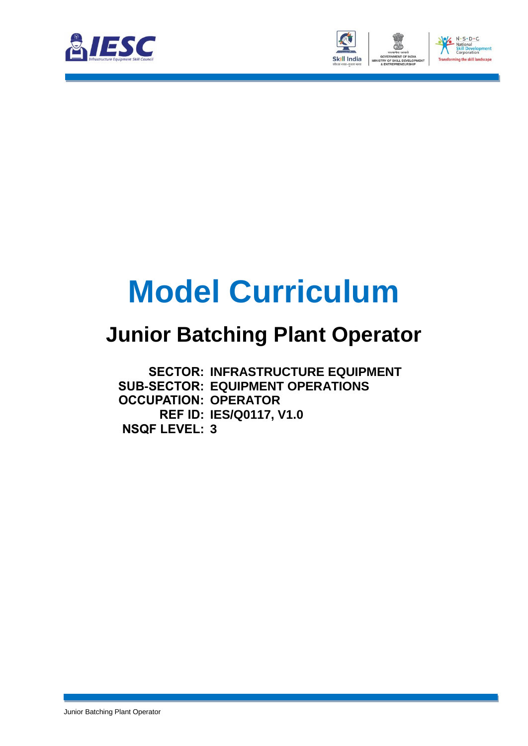



# **Model Curriculum**

### **Junior Batching Plant Operator**

**SECTOR: INFRASTRUCTURE EQUIPMENT SUB-SECTOR: EQUIPMENT OPERATIONS OCCUPATION: OPERATOR REF ID: IES/Q0117, V1.0 NSQF LEVEL: 3**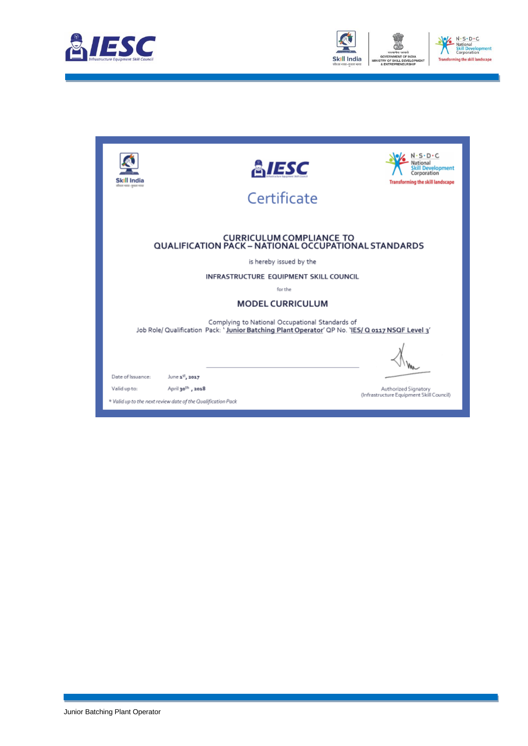



| Skill India<br>allest vace-aware way.                        | <b>&amp;IESC</b><br>Certificate                                                                                                                     | $S \cdot D \cdot C$<br>Development<br>Corporation<br><b>Transforming the skill landscape</b> |
|--------------------------------------------------------------|-----------------------------------------------------------------------------------------------------------------------------------------------------|----------------------------------------------------------------------------------------------|
|                                                              | <b>CURRICULUM COMPLIANCE TO</b><br><b>QUALIFICATION PACK - NATIONAL OCCUPATIONAL STANDARDS</b>                                                      |                                                                                              |
|                                                              | is hereby issued by the                                                                                                                             |                                                                                              |
|                                                              | INFRASTRUCTURE EQUIPMENT SKILL COUNCIL                                                                                                              |                                                                                              |
|                                                              | for the                                                                                                                                             |                                                                                              |
|                                                              | <b>MODEL CURRICULUM</b>                                                                                                                             |                                                                                              |
|                                                              | Complying to National Occupational Standards of<br>Job Role/ Qualification Pack: 'Junior Batching Plant Operator' QP No. 'IES/ Q 0117 NSQF Level 3' |                                                                                              |
|                                                              |                                                                                                                                                     |                                                                                              |
| Date of Issuance:                                            | June 1st, 2017                                                                                                                                      |                                                                                              |
| Valid up to:                                                 | April 30th, 2018                                                                                                                                    | Authorized Signatory<br>(Infrastructure Equipment Skill Council)                             |
| * Valid up to the next review date of the Qualification Pack |                                                                                                                                                     |                                                                                              |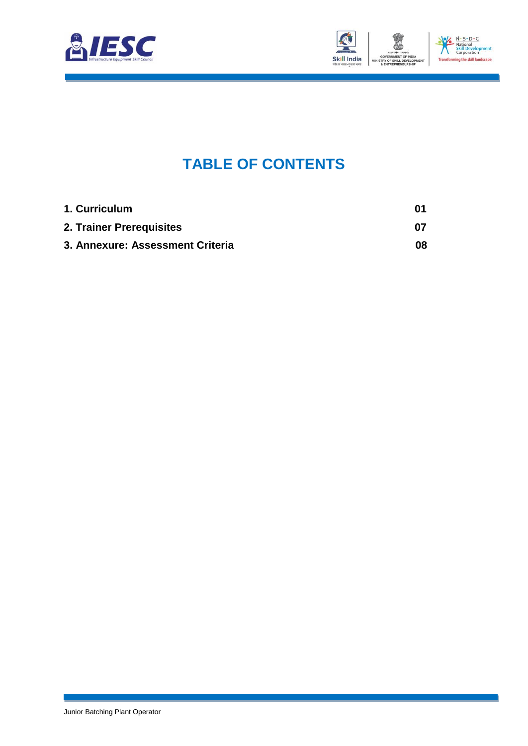



### **TABLE OF CONTENTS**

<span id="page-2-2"></span><span id="page-2-1"></span><span id="page-2-0"></span>

| 1. Curriculum                    | 01  |
|----------------------------------|-----|
| 2. Trainer Prerequisites         | 07  |
| 3. Annexure: Assessment Criteria | 08. |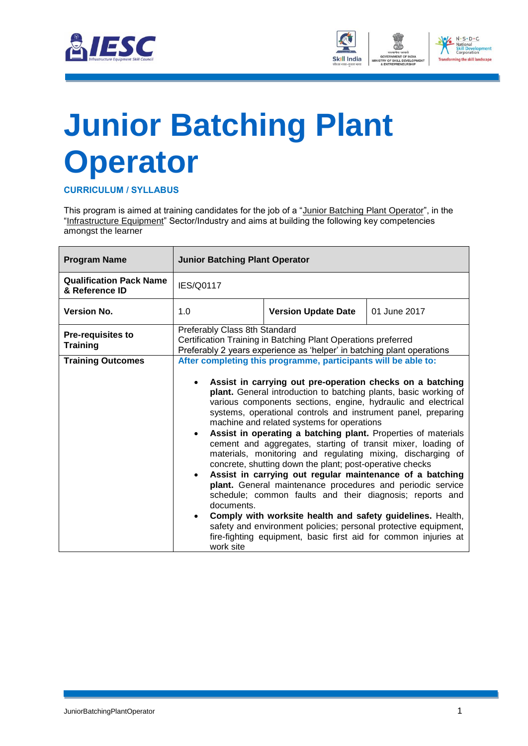



# <span id="page-3-0"></span>**[Junior Batching Plant](#page-2-0)  [Operator](#page-2-0)**

**CURRICULUM / SYLLABUS**

This program is aimed at training candidates for the job of a "Junior Batching Plant Operator", in the "Infrastructure Equipment" Sector/Industry and aims at building the following key competencies amongst the learner

| <b>Program Name</b>                              | <b>Junior Batching Plant Operator</b>                                                                                                                                    |                                                                                                                                                                                                                                                                                                                                                                                                                                                                                                                                                                                                                                                                                                                                                                                                                                                                                                                                                                     |  |  |  |
|--------------------------------------------------|--------------------------------------------------------------------------------------------------------------------------------------------------------------------------|---------------------------------------------------------------------------------------------------------------------------------------------------------------------------------------------------------------------------------------------------------------------------------------------------------------------------------------------------------------------------------------------------------------------------------------------------------------------------------------------------------------------------------------------------------------------------------------------------------------------------------------------------------------------------------------------------------------------------------------------------------------------------------------------------------------------------------------------------------------------------------------------------------------------------------------------------------------------|--|--|--|
| <b>Qualification Pack Name</b><br>& Reference ID | <b>IES/Q0117</b>                                                                                                                                                         |                                                                                                                                                                                                                                                                                                                                                                                                                                                                                                                                                                                                                                                                                                                                                                                                                                                                                                                                                                     |  |  |  |
| <b>Version No.</b>                               | 1.0<br>01 June 2017<br><b>Version Update Date</b>                                                                                                                        |                                                                                                                                                                                                                                                                                                                                                                                                                                                                                                                                                                                                                                                                                                                                                                                                                                                                                                                                                                     |  |  |  |
| <b>Pre-requisites to</b><br><b>Training</b>      | Preferably Class 8th Standard<br>Certification Training in Batching Plant Operations preferred<br>Preferably 2 years experience as 'helper' in batching plant operations |                                                                                                                                                                                                                                                                                                                                                                                                                                                                                                                                                                                                                                                                                                                                                                                                                                                                                                                                                                     |  |  |  |
| <b>Training Outcomes</b>                         |                                                                                                                                                                          | After completing this programme, participants will be able to:                                                                                                                                                                                                                                                                                                                                                                                                                                                                                                                                                                                                                                                                                                                                                                                                                                                                                                      |  |  |  |
|                                                  | documents.<br>work site                                                                                                                                                  | Assist in carrying out pre-operation checks on a batching<br>plant. General introduction to batching plants, basic working of<br>various components sections, engine, hydraulic and electrical<br>systems, operational controls and instrument panel, preparing<br>machine and related systems for operations<br>Assist in operating a batching plant. Properties of materials<br>cement and aggregates, starting of transit mixer, loading of<br>materials, monitoring and regulating mixing, discharging of<br>concrete, shutting down the plant; post-operative checks<br>Assist in carrying out regular maintenance of a batching<br>plant. General maintenance procedures and periodic service<br>schedule; common faults and their diagnosis; reports and<br>Comply with worksite health and safety guidelines. Health,<br>safety and environment policies; personal protective equipment,<br>fire-fighting equipment, basic first aid for common injuries at |  |  |  |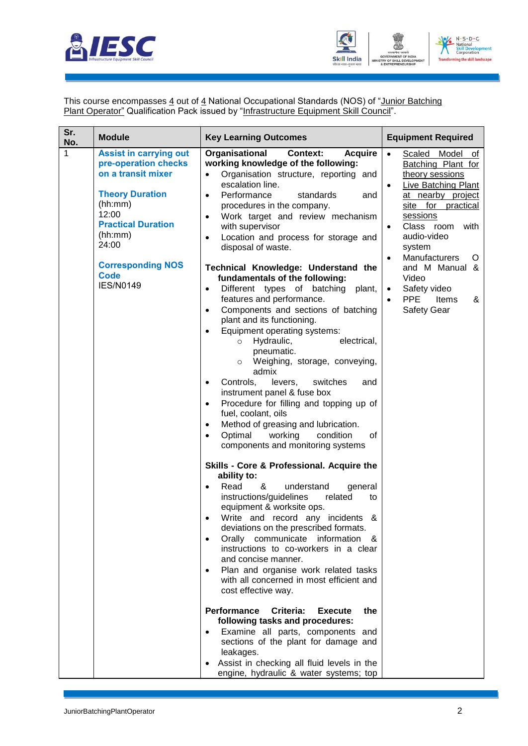



This course encompasses  $\underline{4}$  out of  $\underline{4}$  National Occupational Standards (NOS) of "Junior Batching Plant Operator" Qualification Pack issued by "Infrastructure Equipment Skill Council".

| Sr.<br>No. | <b>Module</b>                                                                                                                                                                                                                      | <b>Key Learning Outcomes</b>                                                                                                                                                                                                                                                                                                                                                                                                                                                                                                                                                                                                                                                                                                                                                                                                                                                                                                                                                                                                                                                                                                                                                                                                                                                                                                                                                                                                                                                                                                                                                                                                                                                                                                                                                                                                                                                                                                            | <b>Equipment Required</b>                                                                                                                                                                                                                                                                                                                                                                |
|------------|------------------------------------------------------------------------------------------------------------------------------------------------------------------------------------------------------------------------------------|-----------------------------------------------------------------------------------------------------------------------------------------------------------------------------------------------------------------------------------------------------------------------------------------------------------------------------------------------------------------------------------------------------------------------------------------------------------------------------------------------------------------------------------------------------------------------------------------------------------------------------------------------------------------------------------------------------------------------------------------------------------------------------------------------------------------------------------------------------------------------------------------------------------------------------------------------------------------------------------------------------------------------------------------------------------------------------------------------------------------------------------------------------------------------------------------------------------------------------------------------------------------------------------------------------------------------------------------------------------------------------------------------------------------------------------------------------------------------------------------------------------------------------------------------------------------------------------------------------------------------------------------------------------------------------------------------------------------------------------------------------------------------------------------------------------------------------------------------------------------------------------------------------------------------------------------|------------------------------------------------------------------------------------------------------------------------------------------------------------------------------------------------------------------------------------------------------------------------------------------------------------------------------------------------------------------------------------------|
| 1          | <b>Assist in carrying out</b><br>pre-operation checks<br>on a transit mixer<br><b>Theory Duration</b><br>(hh:mm)<br>12:00<br><b>Practical Duration</b><br>(hh:mm)<br>24:00<br><b>Corresponding NOS</b><br>Code<br><b>IES/N0149</b> | Organisational<br><b>Context:</b><br><b>Acquire</b><br>working knowledge of the following:<br>Organisation structure, reporting and<br>$\bullet$<br>escalation line.<br>Performance<br>standards<br>and<br>$\bullet$<br>procedures in the company.<br>Work target and review mechanism<br>$\bullet$<br>with supervisor<br>Location and process for storage and<br>$\bullet$<br>disposal of waste.<br>Technical Knowledge: Understand the<br>fundamentals of the following:<br>Different types of batching<br>plant,<br>$\bullet$<br>features and performance.<br>Components and sections of batching<br>$\bullet$<br>plant and its functioning.<br>Equipment operating systems:<br>$\bullet$<br>Hydraulic,<br>electrical,<br>$\circ$<br>pneumatic.<br>Weighing, storage, conveying,<br>$\circ$<br>admix<br>switches<br>Controls,<br>levers,<br>and<br>$\bullet$<br>instrument panel & fuse box<br>Procedure for filling and topping up of<br>$\bullet$<br>fuel, coolant, oils<br>Method of greasing and lubrication.<br>$\bullet$<br>Optimal<br>working<br>condition<br>of<br>$\bullet$<br>components and monitoring systems<br>Skills - Core & Professional. Acquire the<br>ability to:<br>Read<br>&<br>understand<br>general<br>$\bullet$<br>instructions/guidelines<br>related<br>to<br>equipment & worksite ops.<br>Write and record any incidents<br>&<br>deviations on the prescribed formats.<br>Orally communicate information<br>&<br>$\bullet$<br>instructions to co-workers in a clear<br>and concise manner.<br>Plan and organise work related tasks<br>$\bullet$<br>with all concerned in most efficient and<br>cost effective way.<br>Performance<br>Criteria:<br>the<br><b>Execute</b><br>following tasks and procedures:<br>Examine all parts, components and<br>$\bullet$<br>sections of the plant for damage and<br>leakages.<br>Assist in checking all fluid levels in the<br>engine, hydraulic & water systems; top | $\bullet$<br>Model<br>Scaled<br>of<br>Batching Plant for<br>theory sessions<br>Live Batching Plant<br>$\bullet$<br>at nearby project<br>site for<br>practical<br>sessions<br>Class room<br>with<br>$\bullet$<br>audio-video<br>system<br>Manufacturers<br>O<br>$\bullet$<br>and M Manual &<br>Video<br>Safety video<br>$\bullet$<br><b>PPE</b><br>Items<br>&<br>$\bullet$<br>Safety Gear |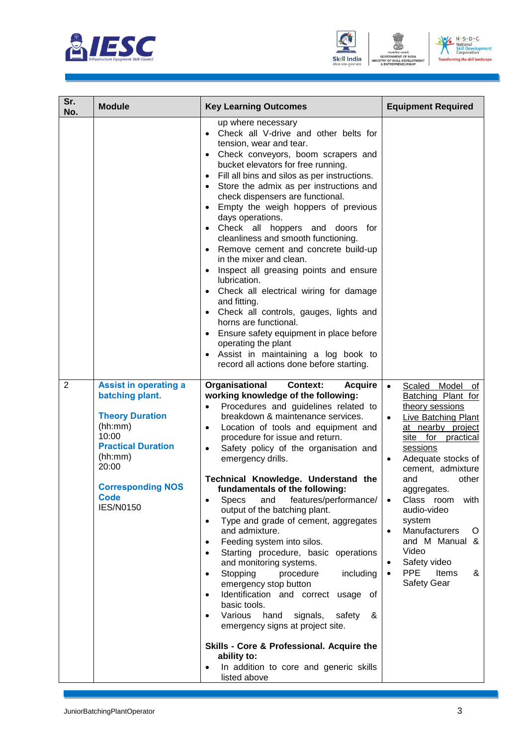





| Sr.<br>No.     | <b>Module</b>                                                                                                                                                                                                 | <b>Key Learning Outcomes</b>                                                                                                                                                                                                                                                                                                                                                                                                                                                                                                                                                                                                                                                                                                                                                                                                                                                                                                                                                                                                                                     | <b>Equipment Required</b>                                                                                                                                                                                                                                                                                                                                                                                          |
|----------------|---------------------------------------------------------------------------------------------------------------------------------------------------------------------------------------------------------------|------------------------------------------------------------------------------------------------------------------------------------------------------------------------------------------------------------------------------------------------------------------------------------------------------------------------------------------------------------------------------------------------------------------------------------------------------------------------------------------------------------------------------------------------------------------------------------------------------------------------------------------------------------------------------------------------------------------------------------------------------------------------------------------------------------------------------------------------------------------------------------------------------------------------------------------------------------------------------------------------------------------------------------------------------------------|--------------------------------------------------------------------------------------------------------------------------------------------------------------------------------------------------------------------------------------------------------------------------------------------------------------------------------------------------------------------------------------------------------------------|
|                |                                                                                                                                                                                                               | up where necessary<br>Check all V-drive and other belts for<br>tension, wear and tear.<br>• Check conveyors, boom scrapers and<br>bucket elevators for free running.<br>Fill all bins and silos as per instructions.<br>Store the admix as per instructions and<br>check dispensers are functional.<br>Empty the weigh hoppers of previous<br>days operations.<br>• Check all hoppers and doors for<br>cleanliness and smooth functioning.<br>Remove cement and concrete build-up<br>in the mixer and clean.<br>Inspect all greasing points and ensure<br>lubrication.<br>Check all electrical wiring for damage<br>and fitting.<br>Check all controls, gauges, lights and<br>horns are functional.<br>Ensure safety equipment in place before<br>$\bullet$<br>operating the plant<br>Assist in maintaining a log book to<br>record all actions done before starting.                                                                                                                                                                                            |                                                                                                                                                                                                                                                                                                                                                                                                                    |
| $\overline{2}$ | <b>Assist in operating a</b><br>batching plant.<br><b>Theory Duration</b><br>(hh:mm)<br>10:00<br><b>Practical Duration</b><br>(hh:mm)<br>20:00<br><b>Corresponding NOS</b><br><b>Code</b><br><b>IES/N0150</b> | Organisational<br><b>Context:</b><br><b>Acquire</b><br>working knowledge of the following:<br>Procedures and guidelines related to<br>$\bullet$<br>breakdown & maintenance services.<br>Location of tools and equipment and<br>$\bullet$<br>procedure for issue and return.<br>Safety policy of the organisation and<br>emergency drills.<br>Technical Knowledge. Understand the<br>fundamentals of the following:<br>features/performance/<br><b>Specs</b><br>and<br>output of the batching plant.<br>Type and grade of cement, aggregates<br>$\bullet$<br>and admixture.<br>Feeding system into silos.<br>Starting procedure, basic operations<br>and monitoring systems.<br>Stopping<br>procedure<br>including<br>$\bullet$<br>emergency stop button<br>Identification and correct usage<br>$\bullet$<br>of<br>basic tools.<br>Various<br>hand<br>signals,<br>safety<br>&<br>$\bullet$<br>emergency signs at project site.<br>Skills - Core & Professional. Acquire the<br>ability to:<br>In addition to core and generic skills<br>$\bullet$<br>listed above | $\bullet$<br>Scaled Model of<br>Batching Plant for<br>theory sessions<br>Live Batching Plant<br>$\bullet$<br>at nearby project<br>site for practical<br>sessions<br>Adequate stocks of<br>cement, admixture<br>other<br>and<br>aggregates.<br>Class room<br>with<br>$\bullet$<br>audio-video<br>system<br>Manufacturers<br>Ő<br>and M Manual &<br>Video<br>Safety video<br><b>PPE</b><br>Items<br>&<br>Safety Gear |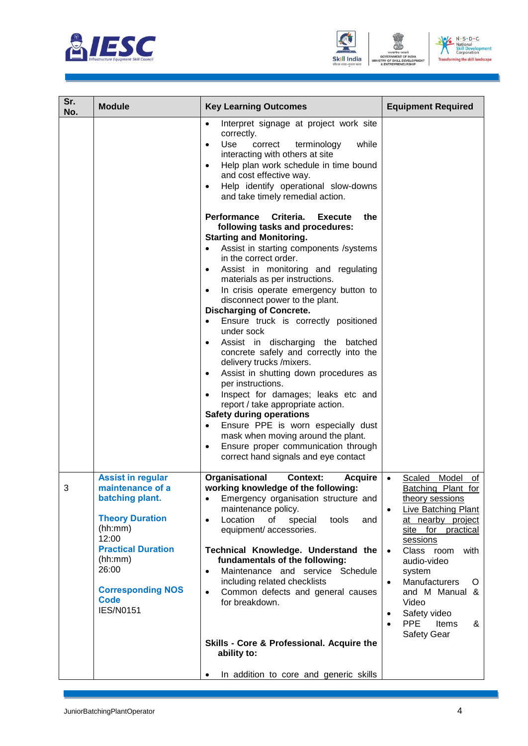





| Sr.<br>No. | <b>Module</b>                                                                                                                                                                                                                 | <b>Key Learning Outcomes</b>                                                                                                                                                                                                                                                                                                                                                                                                                                                                                                                                                                                                                                                                                                                                                                                                                                                                                                                                                                                                                                                                                                                                                                                                                                                                                           | <b>Equipment Required</b>                                                                                                                                                                                                                                                                                                                                  |
|------------|-------------------------------------------------------------------------------------------------------------------------------------------------------------------------------------------------------------------------------|------------------------------------------------------------------------------------------------------------------------------------------------------------------------------------------------------------------------------------------------------------------------------------------------------------------------------------------------------------------------------------------------------------------------------------------------------------------------------------------------------------------------------------------------------------------------------------------------------------------------------------------------------------------------------------------------------------------------------------------------------------------------------------------------------------------------------------------------------------------------------------------------------------------------------------------------------------------------------------------------------------------------------------------------------------------------------------------------------------------------------------------------------------------------------------------------------------------------------------------------------------------------------------------------------------------------|------------------------------------------------------------------------------------------------------------------------------------------------------------------------------------------------------------------------------------------------------------------------------------------------------------------------------------------------------------|
|            |                                                                                                                                                                                                                               | Interpret signage at project work site<br>$\bullet$<br>correctly.<br>Use<br>while<br>correct<br>terminology<br>$\bullet$<br>interacting with others at site<br>Help plan work schedule in time bound<br>$\bullet$<br>and cost effective way.<br>Help identify operational slow-downs<br>$\bullet$<br>and take timely remedial action.<br>Performance<br>Criteria.<br>Execute<br>the<br>following tasks and procedures:<br><b>Starting and Monitoring.</b><br>Assist in starting components /systems<br>$\bullet$<br>in the correct order.<br>Assist in monitoring and regulating<br>$\bullet$<br>materials as per instructions.<br>In crisis operate emergency button to<br>$\bullet$<br>disconnect power to the plant.<br><b>Discharging of Concrete.</b><br>Ensure truck is correctly positioned<br>$\bullet$<br>under sock<br>Assist in discharging the batched<br>$\bullet$<br>concrete safely and correctly into the<br>delivery trucks /mixers.<br>Assist in shutting down procedures as<br>$\bullet$<br>per instructions.<br>Inspect for damages; leaks etc and<br>report / take appropriate action.<br><b>Safety during operations</b><br>Ensure PPE is worn especially dust<br>mask when moving around the plant.<br>Ensure proper communication through<br>$\bullet$<br>correct hand signals and eye contact |                                                                                                                                                                                                                                                                                                                                                            |
| 3          | <b>Assist in regular</b><br>maintenance of a<br>batching plant.<br><b>Theory Duration</b><br>(hh:mm)<br>12:00<br><b>Practical Duration</b><br>(hh:mm)<br>26:00<br><b>Corresponding NOS</b><br><b>Code</b><br><b>IES/N0151</b> | Organisational<br><b>Context:</b><br><b>Acquire</b><br>working knowledge of the following:<br>Emergency organisation structure and<br>$\bullet$<br>maintenance policy.<br>Location<br>of<br>special<br>tools<br>$\bullet$<br>and<br>equipment/ accessories.<br>Technical Knowledge. Understand the<br>fundamentals of the following:<br>Maintenance and service Schedule<br>$\bullet$<br>including related checklists<br>Common defects and general causes<br>$\bullet$<br>for breakdown.<br>Skills - Core & Professional. Acquire the<br>ability to:<br>In addition to core and generic skills<br>$\bullet$                                                                                                                                                                                                                                                                                                                                                                                                                                                                                                                                                                                                                                                                                                           | Scaled Model of<br>Batching Plant for<br>theory sessions<br>Live Batching Plant<br>$\bullet$<br>at nearby project<br>site for practical<br>sessions<br>Class room<br>with<br>$\bullet$<br>audio-video<br>system<br>Manufacturers<br>$\bullet$<br>O<br>and M Manual &<br>Video<br>Safety video<br>٠<br>PPE<br>Items<br>&<br>$\bullet$<br><b>Safety Gear</b> |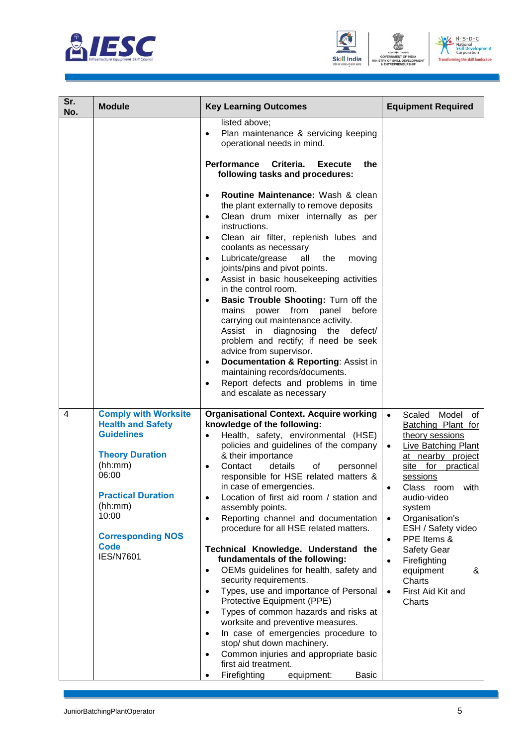





| Sr.<br>No. | <b>Module</b>                                                                                                                                                                                                                              | <b>Key Learning Outcomes</b>                                                                                                                                                                                                                                                                                                                                                                                                                                                                                                                                                                                                                                                                                                                                                                                                                                                                                                                                                                                                                               | <b>Equipment Required</b>                                                                                                                                                                                                                                                                                                                                                                                             |
|------------|--------------------------------------------------------------------------------------------------------------------------------------------------------------------------------------------------------------------------------------------|------------------------------------------------------------------------------------------------------------------------------------------------------------------------------------------------------------------------------------------------------------------------------------------------------------------------------------------------------------------------------------------------------------------------------------------------------------------------------------------------------------------------------------------------------------------------------------------------------------------------------------------------------------------------------------------------------------------------------------------------------------------------------------------------------------------------------------------------------------------------------------------------------------------------------------------------------------------------------------------------------------------------------------------------------------|-----------------------------------------------------------------------------------------------------------------------------------------------------------------------------------------------------------------------------------------------------------------------------------------------------------------------------------------------------------------------------------------------------------------------|
|            |                                                                                                                                                                                                                                            | listed above;<br>Plan maintenance & servicing keeping<br>$\bullet$<br>operational needs in mind.<br>Performance<br>Criteria.<br>Execute<br>the<br>following tasks and procedures:<br>Routine Maintenance: Wash & clean<br>$\bullet$<br>the plant externally to remove deposits<br>Clean drum mixer internally as per<br>$\bullet$<br>instructions.<br>Clean air filter, replenish lubes and<br>$\bullet$<br>coolants as necessary<br>Lubricate/grease<br>all<br>the<br>moving<br>$\bullet$<br>joints/pins and pivot points.<br>Assist in basic housekeeping activities<br>$\bullet$<br>in the control room.<br>Basic Trouble Shooting: Turn off the<br>$\bullet$<br>mains power from panel<br>before                                                                                                                                                                                                                                                                                                                                                       |                                                                                                                                                                                                                                                                                                                                                                                                                       |
|            |                                                                                                                                                                                                                                            | carrying out maintenance activity.<br>Assist in diagnosing the defect/<br>problem and rectify; if need be seek<br>advice from supervisor.<br><b>Documentation &amp; Reporting: Assist in</b><br>$\bullet$<br>maintaining records/documents.<br>Report defects and problems in time<br>$\bullet$<br>and escalate as necessary                                                                                                                                                                                                                                                                                                                                                                                                                                                                                                                                                                                                                                                                                                                               |                                                                                                                                                                                                                                                                                                                                                                                                                       |
| 4          | <b>Comply with Worksite</b><br><b>Health and Safety</b><br><b>Guidelines</b><br><b>Theory Duration</b><br>(hh:mm)<br>06:00<br><b>Practical Duration</b><br>(hh:mm)<br>10:00<br><b>Corresponding NOS</b><br><b>Code</b><br><b>IES/N7601</b> | <b>Organisational Context. Acquire working</b><br>knowledge of the following:<br>Health, safety, environmental (HSE)<br>$\bullet$<br>policies and guidelines of the company<br>& their importance<br>Contact<br>details<br>of<br>personnel<br>$\bullet$<br>responsible for HSE related matters &<br>in case of emergencies.<br>Location of first aid room / station and<br>$\bullet$<br>assembly points.<br>Reporting channel and documentation<br>$\bullet$<br>procedure for all HSE related matters.<br>Technical Knowledge. Understand the<br>fundamentals of the following:<br>OEMs guidelines for health, safety and<br>$\bullet$<br>security requirements.<br>Types, use and importance of Personal<br>$\bullet$<br>Protective Equipment (PPE)<br>Types of common hazards and risks at<br>$\bullet$<br>worksite and preventive measures.<br>In case of emergencies procedure to<br>$\bullet$<br>stop/ shut down machinery.<br>Common injuries and appropriate basic<br>$\bullet$<br>first aid treatment.<br>Firefighting<br>equipment:<br>Basic<br>٠ | Scaled Model<br>of<br>Batching Plant for<br>theory sessions<br><b>Live Batching Plant</b><br>$\bullet$<br>at nearby project<br>site for practical<br>sessions<br>Class room with<br>audio-video<br>system<br>Organisation's<br>$\bullet$<br>ESH / Safety video<br>PPE Items &<br>$\bullet$<br><b>Safety Gear</b><br>Firefighting<br>$\bullet$<br>equipment<br>&<br>Charts<br>First Aid Kit and<br>$\bullet$<br>Charts |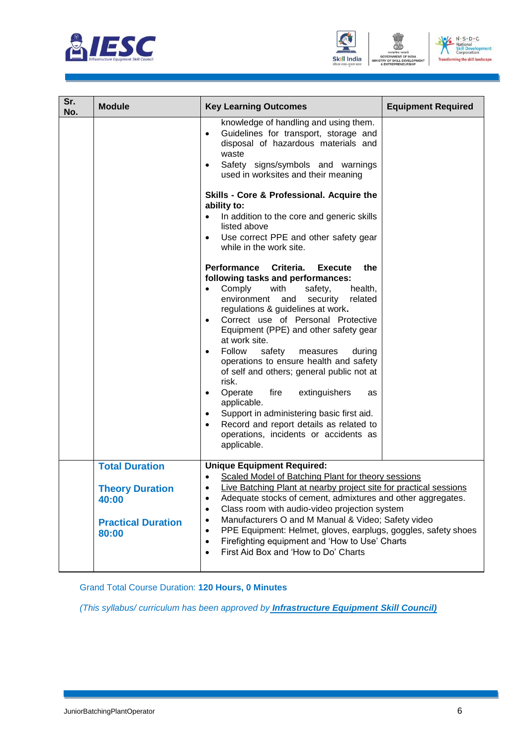





| Sr.<br>No. | <b>Module</b>                                                                                  | <b>Key Learning Outcomes</b>                                                                                                                                                                                                                                                                                                                                                                                                                                                                                                                                                                                                                                                                                      | <b>Equipment Required</b> |
|------------|------------------------------------------------------------------------------------------------|-------------------------------------------------------------------------------------------------------------------------------------------------------------------------------------------------------------------------------------------------------------------------------------------------------------------------------------------------------------------------------------------------------------------------------------------------------------------------------------------------------------------------------------------------------------------------------------------------------------------------------------------------------------------------------------------------------------------|---------------------------|
|            |                                                                                                | knowledge of handling and using them.<br>Guidelines for transport, storage and<br>$\bullet$<br>disposal of hazardous materials and<br>waste<br>Safety signs/symbols and warnings<br>used in worksites and their meaning<br>Skills - Core & Professional. Acquire the<br>ability to:<br>In addition to the core and generic skills<br>$\bullet$<br>listed above<br>Use correct PPE and other safety gear<br>$\bullet$<br>while in the work site.                                                                                                                                                                                                                                                                   |                           |
|            |                                                                                                | Performance Criteria.<br>the<br><b>Execute</b><br>following tasks and performances:<br>Comply<br>with<br>safety,<br>health,<br>environment and<br>security<br>related<br>regulations & guidelines at work.<br>Correct use of Personal Protective<br>$\bullet$<br>Equipment (PPE) and other safety gear<br>at work site.<br>Follow<br>safety<br>measures<br>during<br>operations to ensure health and safety<br>of self and others; general public not at<br>risk.<br>Operate<br>fire<br>extinguishers<br>as<br>$\bullet$<br>applicable.<br>Support in administering basic first aid.<br>$\bullet$<br>Record and report details as related to<br>$\bullet$<br>operations, incidents or accidents as<br>applicable. |                           |
|            | <b>Total Duration</b><br><b>Theory Duration</b><br>40:00<br><b>Practical Duration</b><br>80:00 | <b>Unique Equipment Required:</b><br>Scaled Model of Batching Plant for theory sessions<br>Live Batching Plant at nearby project site for practical sessions<br>$\bullet$<br>Adequate stocks of cement, admixtures and other aggregates.<br>٠<br>Class room with audio-video projection system<br>$\bullet$<br>Manufacturers O and M Manual & Video; Safety video<br>٠<br>PPE Equipment: Helmet, gloves, earplugs, goggles, safety shoes<br>$\bullet$<br>Firefighting equipment and 'How to Use' Charts<br>$\bullet$<br>First Aid Box and 'How to Do' Charts<br>٠                                                                                                                                                 |                           |

Grand Total Course Duration: **120 Hours, 0 Minutes**

*(This syllabus/ curriculum has been approved by Infrastructure Equipment Skill Council)*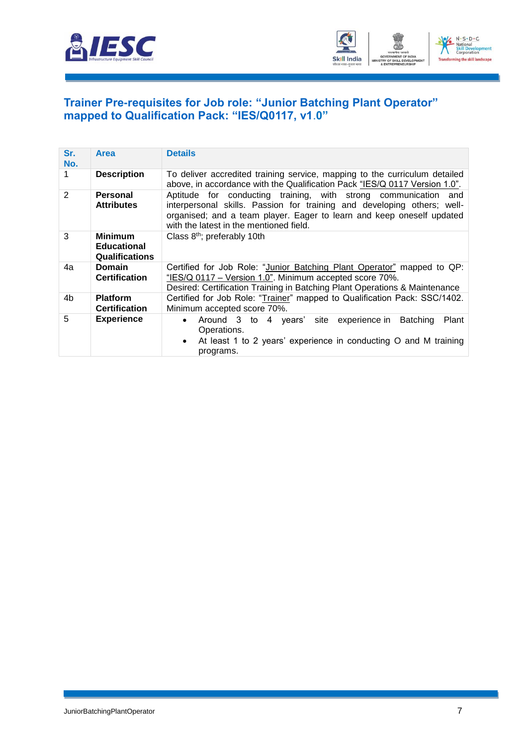



#### <span id="page-9-0"></span>**[Trainer Pre-requisites for Job role: "Junior Batching Plant](#page-2-1) Operator" [mapped to Qualification Pack: "IES/Q0117, v1](#page-2-1)**.**0"**

| Sr.<br>No.    | <b>Area</b>                                                   | <b>Details</b>                                                                                                                                                                                                                                                 |
|---------------|---------------------------------------------------------------|----------------------------------------------------------------------------------------------------------------------------------------------------------------------------------------------------------------------------------------------------------------|
|               | <b>Description</b>                                            | To deliver accredited training service, mapping to the curriculum detailed<br>above, in accordance with the Qualification Pack "IES/Q 0117 Version 1.0".                                                                                                       |
| $\mathcal{P}$ | Personal<br><b>Attributes</b>                                 | Aptitude for conducting training, with strong communication and<br>interpersonal skills. Passion for training and developing others; well-<br>organised; and a team player. Eager to learn and keep oneself updated<br>with the latest in the mentioned field. |
| 3             | <b>Minimum</b><br><b>Educational</b><br><b>Qualifications</b> | Class $8th$ ; preferably 10th                                                                                                                                                                                                                                  |
| 4a            | <b>Domain</b><br><b>Certification</b>                         | Certified for Job Role: "Junior Batching Plant Operator" mapped to QP:<br>"IES/Q 0117 - Version 1.0". Minimum accepted score 70%.<br>Desired: Certification Training in Batching Plant Operations & Maintenance                                                |
| 4b            | <b>Platform</b><br><b>Certification</b>                       | Certified for Job Role: "Trainer" mapped to Qualification Pack: SSC/1402.<br>Minimum accepted score 70%.                                                                                                                                                       |
| 5             | <b>Experience</b>                                             | <b>Batching</b><br>• Around 3 to 4 years' site experience in<br>Plant<br>Operations.<br>At least 1 to 2 years' experience in conducting O and M training<br>$\bullet$<br>programs.                                                                             |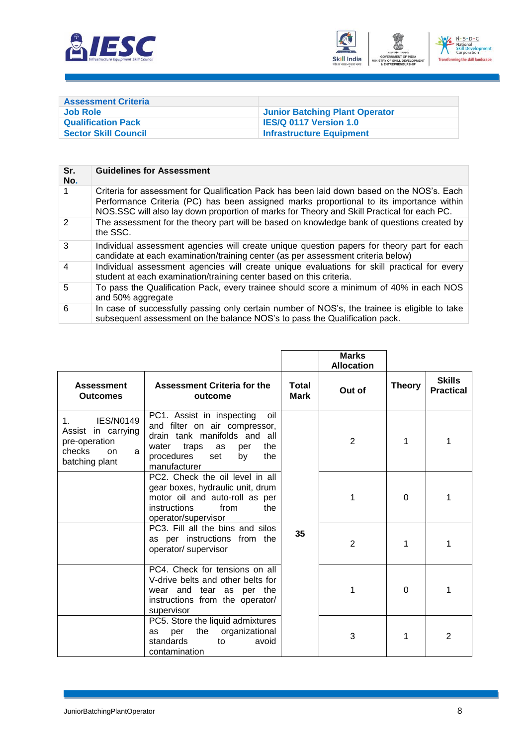



<span id="page-10-0"></span>

| <b>Assessment Criteria</b>  |                                       |
|-----------------------------|---------------------------------------|
| <b>Job Role</b>             | <b>Junior Batching Plant Operator</b> |
| <b>Qualification Pack</b>   | <b>IES/Q 0117 Version 1.0</b>         |
| <b>Sector Skill Council</b> | <b>Infrastructure Equipment</b>       |

| Sr.<br>No.    | <b>Guidelines for Assessment</b>                                                                                                                                                                                                                                                    |
|---------------|-------------------------------------------------------------------------------------------------------------------------------------------------------------------------------------------------------------------------------------------------------------------------------------|
|               | Criteria for assessment for Qualification Pack has been laid down based on the NOS's. Each<br>Performance Criteria (PC) has been assigned marks proportional to its importance within<br>NOS.SSC will also lay down proportion of marks for Theory and Skill Practical for each PC. |
| $\mathcal{P}$ | The assessment for the theory part will be based on knowledge bank of questions created by<br>the SSC.                                                                                                                                                                              |
| 3             | Individual assessment agencies will create unique question papers for theory part for each<br>candidate at each examination/training center (as per assessment criteria below)                                                                                                      |
| 4             | Individual assessment agencies will create unique evaluations for skill practical for every<br>student at each examination/training center based on this criteria.                                                                                                                  |
| 5             | To pass the Qualification Pack, every trainee should score a minimum of 40% in each NOS<br>and 50% aggregate                                                                                                                                                                        |
| 6             | In case of successfully passing only certain number of NOS's, the trainee is eligible to take<br>subsequent assessment on the balance NOS's to pass the Qualification pack.                                                                                                         |

|                                                                                                                  |                                                                                                                                                                                           |                      | <b>Marks</b><br><b>Allocation</b> |               |                                   |
|------------------------------------------------------------------------------------------------------------------|-------------------------------------------------------------------------------------------------------------------------------------------------------------------------------------------|----------------------|-----------------------------------|---------------|-----------------------------------|
| <b>Assessment</b><br><b>Outcomes</b>                                                                             | Assessment Criteria for the<br>outcome                                                                                                                                                    | Total<br><b>Mark</b> | Out of                            | <b>Theory</b> | <b>Skills</b><br><b>Practical</b> |
| <b>IES/N0149</b><br>$1_{-}$<br>Assist in carrying<br>pre-operation<br>checks<br><b>on</b><br>a<br>batching plant | PC1. Assist in inspecting<br>oil<br>and filter on air compressor,<br>drain tank manifolds and all<br>the<br>water<br>traps<br>as<br>per<br>procedures<br>the<br>set<br>by<br>manufacturer |                      | $\overline{2}$                    | 1             | 1                                 |
|                                                                                                                  | PC2. Check the oil level in all<br>gear boxes, hydraulic unit, drum<br>motor oil and auto-roll as per<br>instructions<br>the<br>from<br>operator/supervisor                               |                      | 1                                 | $\Omega$      | 1                                 |
|                                                                                                                  | PC3. Fill all the bins and silos<br>as per instructions from the<br>operator/ supervisor                                                                                                  | 35                   | $\overline{2}$                    |               | 1                                 |
|                                                                                                                  | PC4. Check for tensions on all<br>V-drive belts and other belts for<br>wear and tear as per the<br>instructions from the operator/<br>supervisor                                          |                      | 1                                 | $\Omega$      | 1                                 |
|                                                                                                                  | PC5. Store the liquid admixtures<br>organizational<br>the<br>per<br>as<br>standards<br>avoid<br>to<br>contamination                                                                       |                      | 3                                 | 1             | 2                                 |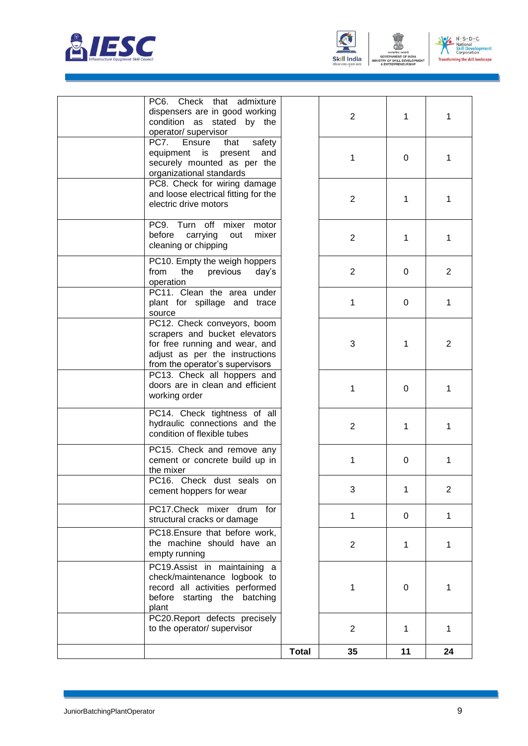





| PC6. Check that<br>dispensers are in good working<br>condition as stated by the<br>operator/ supervisor                                                             | admixture      | $\overline{2}$ | 1        | 1              |
|---------------------------------------------------------------------------------------------------------------------------------------------------------------------|----------------|----------------|----------|----------------|
| PC7.<br>Ensure<br>that<br>equipment<br>is<br>present<br>securely mounted as per the<br>organizational standards                                                     | safety<br>and  | 1              | 0        | 1              |
| PC8. Check for wiring damage<br>and loose electrical fitting for the<br>electric drive motors                                                                       |                | $\overline{2}$ | 1        | 1              |
| PC9. Turn<br>off<br>mixer<br>before<br>carrying<br>out<br>cleaning or chipping                                                                                      | motor<br>mixer | $\overline{2}$ | 1        | 1              |
| PC10. Empty the weigh hoppers<br>from<br>the<br>previous<br>operation                                                                                               | day's          | $\overline{2}$ | 0        | $\overline{2}$ |
| PC11. Clean the area under<br>plant for spillage and trace<br>source                                                                                                |                | 1              | 0        | 1              |
| PC12. Check conveyors, boom<br>scrapers and bucket elevators<br>for free running and wear, and<br>adjust as per the instructions<br>from the operator's supervisors |                | 3              | 1        | 2              |
| PC13. Check all hoppers and<br>doors are in clean and efficient<br>working order                                                                                    |                | 1              | 0        | 1              |
| PC14. Check tightness of all<br>hydraulic connections and the<br>condition of flexible tubes                                                                        |                | $\overline{2}$ | 1        | 1              |
| PC15. Check and remove any<br>cement or concrete build up in<br>the mixer                                                                                           |                | 1              | 0        | 1              |
| PC16. Check dust seals on<br>cement hoppers for wear                                                                                                                |                | 3              | 1        | 2              |
| PC17.Check mixer drum<br>structural cracks or damage                                                                                                                | for            | 1              | $\Omega$ | 1              |
| PC18.Ensure that before work,<br>the machine should have an<br>empty running                                                                                        |                | $\overline{2}$ | 1        | 1              |
| PC19.Assist in maintaining a<br>check/maintenance logbook to<br>record all activities performed<br>before starting the batching<br>plant                            |                | 1              | 0        | 1              |
| PC20.Report defects precisely<br>to the operator/ supervisor                                                                                                        |                | $\overline{2}$ | 1        | 1              |
|                                                                                                                                                                     | <b>Total</b>   | 35             | 11       | 24             |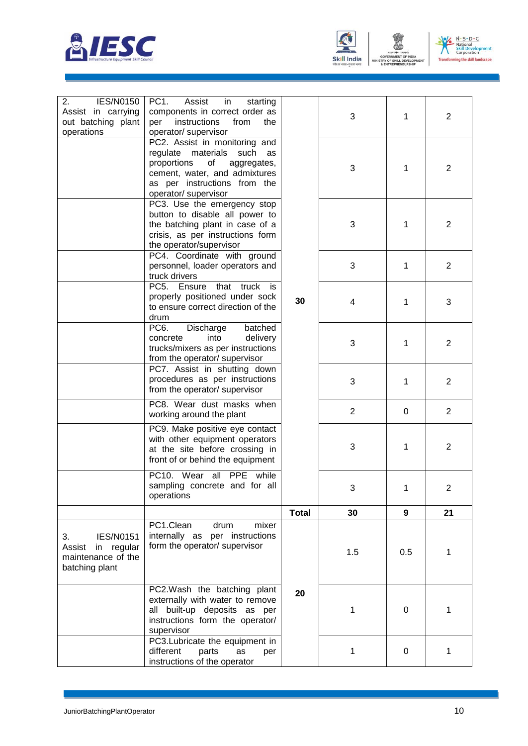



MENT OF

**IENT OF INDIA<br>KILL DEVELOP** 



| 2.<br><b>IES/N0150</b><br>Assist in carrying<br>out batching plant                     | PC <sub>1</sub> .<br>Assist<br>in<br>starting<br>components in correct order as<br>instructions<br>from<br>the<br>per                                                                                                  |              | 3              | 1   | 2              |
|----------------------------------------------------------------------------------------|------------------------------------------------------------------------------------------------------------------------------------------------------------------------------------------------------------------------|--------------|----------------|-----|----------------|
| operations                                                                             | operator/ supervisor<br>PC2. Assist in monitoring and<br>regulate materials<br>such<br>as<br>proportions<br>of<br>aggregates,<br>cement, water, and admixtures<br>as per instructions from the<br>operator/ supervisor |              | 3              | 1   | $\overline{2}$ |
|                                                                                        | PC3. Use the emergency stop<br>button to disable all power to<br>the batching plant in case of a<br>crisis, as per instructions form<br>the operator/supervisor                                                        |              | 3              | 1   | $\overline{2}$ |
|                                                                                        | PC4. Coordinate with ground<br>personnel, loader operators and<br>truck drivers                                                                                                                                        |              | 3              | 1   | $\overline{2}$ |
|                                                                                        | PC5.<br>that<br>Ensure<br>truck is<br>properly positioned under sock<br>to ensure correct direction of the<br>drum                                                                                                     | 30           | 4              | 1   | 3              |
|                                                                                        | PC <sub>6</sub> .<br>Discharge<br>batched<br>into<br>delivery<br>concrete<br>trucks/mixers as per instructions<br>from the operator/ supervisor                                                                        |              | 3              | 1   | $\overline{2}$ |
|                                                                                        | PC7. Assist in shutting down<br>procedures as per instructions<br>from the operator/ supervisor                                                                                                                        |              | 3              | 1   | $\overline{2}$ |
|                                                                                        | PC8. Wear dust masks when<br>working around the plant                                                                                                                                                                  |              | $\overline{2}$ | 0   | $\overline{2}$ |
|                                                                                        | PC9. Make positive eye contact<br>with other equipment operators<br>at the site before crossing in<br>front of or behind the equipment                                                                                 |              | 3              | 1   | $\overline{2}$ |
|                                                                                        | PC10. Wear all PPE while<br>sampling concrete and for all<br>operations                                                                                                                                                |              | 3              |     | ∠              |
|                                                                                        |                                                                                                                                                                                                                        | <b>Total</b> | 30             | 9   | 21             |
| <b>IES/N0151</b><br>3.<br>in regular<br>Assist<br>maintenance of the<br>batching plant | PC1.Clean<br>mixer<br>drum<br>internally as per instructions<br>form the operator/ supervisor                                                                                                                          |              | 1.5            | 0.5 | 1              |
|                                                                                        | PC2. Wash the batching plant<br>externally with water to remove<br>all built-up deposits as per<br>instructions form the operator/<br>supervisor                                                                       | 20           | 1              | 0   | 1              |
|                                                                                        | PC3.Lubricate the equipment in<br>different<br>parts<br>as<br>per<br>instructions of the operator                                                                                                                      |              | 1              | 0   | 1              |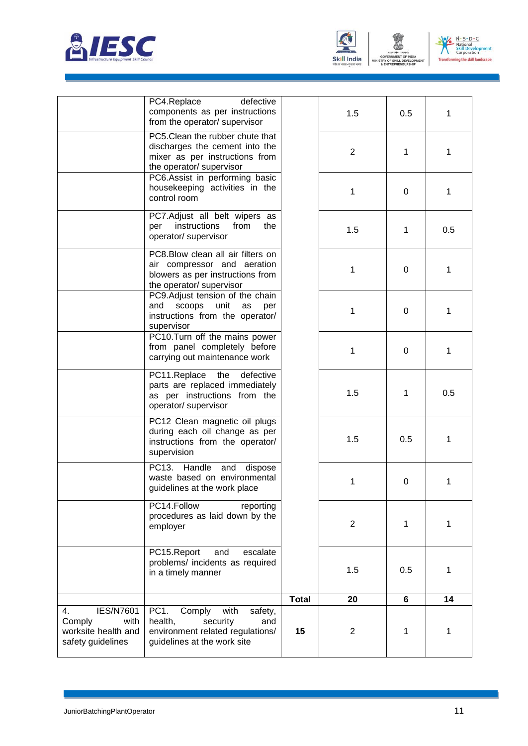





|                                                                                      | PC4.Replace<br>defective<br>components as per instructions<br>from the operator/ supervisor                                        |              | 1.5            | 0.5 | 1   |
|--------------------------------------------------------------------------------------|------------------------------------------------------------------------------------------------------------------------------------|--------------|----------------|-----|-----|
|                                                                                      | PC5. Clean the rubber chute that<br>discharges the cement into the<br>mixer as per instructions from<br>the operator/ supervisor   |              | $\overline{2}$ | 1   | 1   |
|                                                                                      | PC6.Assist in performing basic<br>housekeeping activities in the<br>control room                                                   |              | 1              | 0   | 1   |
|                                                                                      | PC7.Adjust all belt wipers as<br>instructions<br>from<br>the<br>per<br>operator/ supervisor                                        |              | 1.5            | 1   | 0.5 |
|                                                                                      | PC8.Blow clean all air filters on<br>air compressor and aeration<br>blowers as per instructions from<br>the operator/ supervisor   |              | 1              | 0   | 1   |
|                                                                                      | PC9.Adjust tension of the chain<br>scoops<br>unit<br>and<br>as<br>per<br>instructions from the operator/<br>supervisor             |              | 1              | 0   | 1   |
|                                                                                      | PC10.Turn off the mains power<br>from panel completely before<br>carrying out maintenance work                                     |              | 1              | 0   | 1   |
|                                                                                      | defective<br>PC11.Replace<br>the<br>parts are replaced immediately<br>as per instructions from the<br>operator/ supervisor         |              | 1.5            | 1   | 0.5 |
|                                                                                      | PC12 Clean magnetic oil plugs<br>during each oil change as per<br>instructions from the operator/<br>supervision                   |              | 1.5            | 0.5 | 1   |
|                                                                                      | PC13.<br>Handle and<br>dispose<br>waste based on environmental<br>guidelines at the work place                                     |              | 1              | 0   | 1   |
|                                                                                      | PC14.Follow<br>reporting<br>procedures as laid down by the<br>employer                                                             |              | $\overline{2}$ | 1   | 1   |
|                                                                                      | PC15.Report<br>escalate<br>and<br>problems/ incidents as required<br>in a timely manner                                            |              | 1.5            | 0.5 | 1   |
|                                                                                      |                                                                                                                                    | <b>Total</b> | 20             | 6   | 14  |
| <b>IES/N7601</b><br>4.<br>Comply<br>with<br>worksite health and<br>safety guidelines | PC1.<br>Comply<br>with<br>safety,<br>health,<br>security<br>and<br>environment related regulations/<br>guidelines at the work site | 15           | $\overline{2}$ | 1   | 1   |